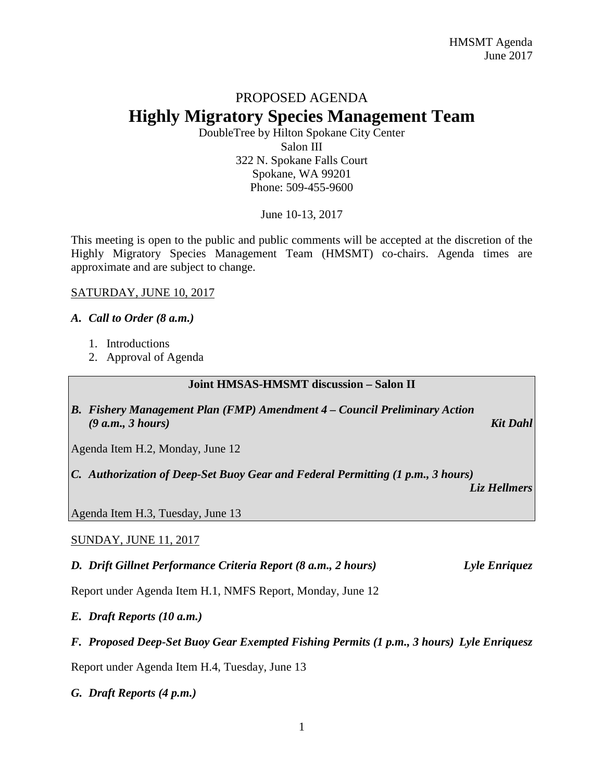# PROPOSED AGENDA **Highly Migratory Species Management Team**

DoubleTree by Hilton Spokane City Center Salon III 322 N. Spokane Falls Court Spokane, WA 99201 Phone: 509-455-9600

June 10-13, 2017

This meeting is open to the public and public comments will be accepted at the discretion of the Highly Migratory Species Management Team (HMSMT) co-chairs. Agenda times are approximate and are subject to change.

# SATURDAY, JUNE 10, 2017

# *A. Call to Order (8 a.m.)*

- 1. Introductions
- 2. Approval of Agenda

#### **Joint HMSAS-HMSMT discussion – Salon II**

*B. Fishery Management Plan (FMP) Amendment 4 – Council Preliminary Action (9 a.m., 3 hours) Kit Dahl*

Agenda Item H.2, Monday, June 12

*C. Authorization of Deep-Set Buoy Gear and Federal Permitting (1 p.m., 3 hours)*

*Liz Hellmers*

Agenda Item H.3, Tuesday, June 13

# SUNDAY, JUNE 11, 2017

*D. Drift Gillnet Performance Criteria Report (8 a.m., 2 hours) Lyle Enriquez*

Report under Agenda Item H.1, NMFS Report, Monday, June 12

*E. Draft Reports (10 a.m.)*

#### *F. Proposed Deep-Set Buoy Gear Exempted Fishing Permits (1 p.m., 3 hours) Lyle Enriquesz*

Report under Agenda Item H.4, Tuesday, June 13

*G. Draft Reports (4 p.m.)*